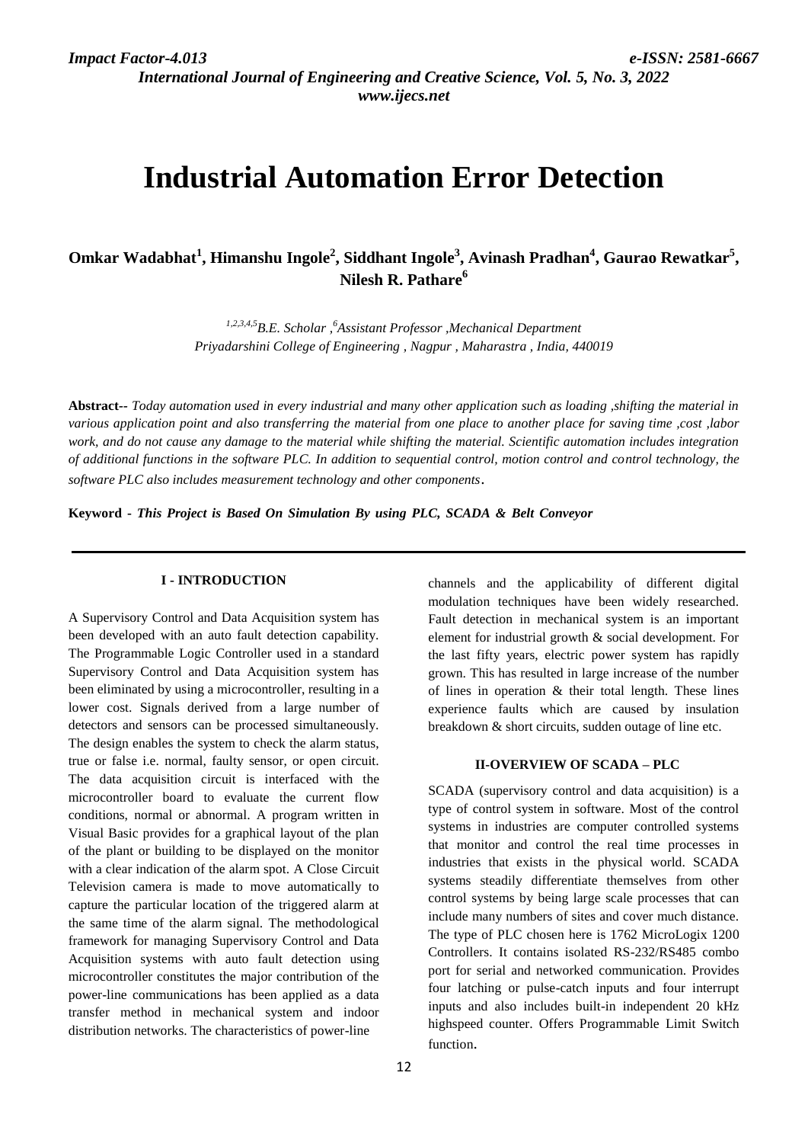*International Journal of Engineering and Creative Science, Vol. 5, No. 3, 2022 www.ijecs.net*

# **Industrial Automation Error Detection**

**Omkar Wadabhat<sup>1</sup> , Himanshu Ingole<sup>2</sup> , Siddhant Ingole<sup>3</sup> , Avinash Pradhan<sup>4</sup> , Gaurao Rewatkar<sup>5</sup> , Nilesh R. Pathare<sup>6</sup>**

> *1,2,3,4,5B.E. Scholar , <sup>6</sup>Assistant Professor ,Mechanical Department Priyadarshini College of Engineering , Nagpur , Maharastra , India, 440019*

**Abstract***-- Today automation used in every industrial and many other application such as loading ,shifting the material in various application point and also transferring the material from one place to another place for saving time ,cost ,labor work, and do not cause any damage to the material while shifting the material. Scientific automation includes integration of additional functions in the software PLC. In addition to sequential control, motion control and control technology, the software PLC also includes measurement technology and other components*.

**Keyword -** *This Project is Based On Simulation By using PLC, SCADA & Belt Conveyor* 

#### **I - INTRODUCTION**

A Supervisory Control and Data Acquisition system has been developed with an auto fault detection capability. The Programmable Logic Controller used in a standard Supervisory Control and Data Acquisition system has been eliminated by using a microcontroller, resulting in a lower cost. Signals derived from a large number of detectors and sensors can be processed simultaneously. The design enables the system to check the alarm status, true or false i.e. normal, faulty sensor, or open circuit. The data acquisition circuit is interfaced with the microcontroller board to evaluate the current flow conditions, normal or abnormal. A program written in Visual Basic provides for a graphical layout of the plan of the plant or building to be displayed on the monitor with a clear indication of the alarm spot. A Close Circuit Television camera is made to move automatically to capture the particular location of the triggered alarm at the same time of the alarm signal. The methodological framework for managing Supervisory Control and Data Acquisition systems with auto fault detection using microcontroller constitutes the major contribution of the power-line communications has been applied as a data transfer method in mechanical system and indoor distribution networks. The characteristics of power-line

channels and the applicability of different digital modulation techniques have been widely researched. Fault detection in mechanical system is an important element for industrial growth & social development. For the last fifty years, electric power system has rapidly grown. This has resulted in large increase of the number of lines in operation & their total length. These lines experience faults which are caused by insulation breakdown & short circuits, sudden outage of line etc.

#### **II-OVERVIEW OF SCADA – PLC**

SCADA (supervisory control and data acquisition) is a type of control system in software. Most of the control systems in industries are computer controlled systems that monitor and control the real time processes in industries that exists in the physical world. SCADA systems steadily differentiate themselves from other control systems by being large scale processes that can include many numbers of sites and cover much distance. The type of PLC chosen here is 1762 MicroLogix 1200 Controllers. It contains isolated RS-232/RS485 combo port for serial and networked communication. Provides four latching or pulse-catch inputs and four interrupt inputs and also includes built-in independent 20 kHz highspeed counter. Offers Programmable Limit Switch function.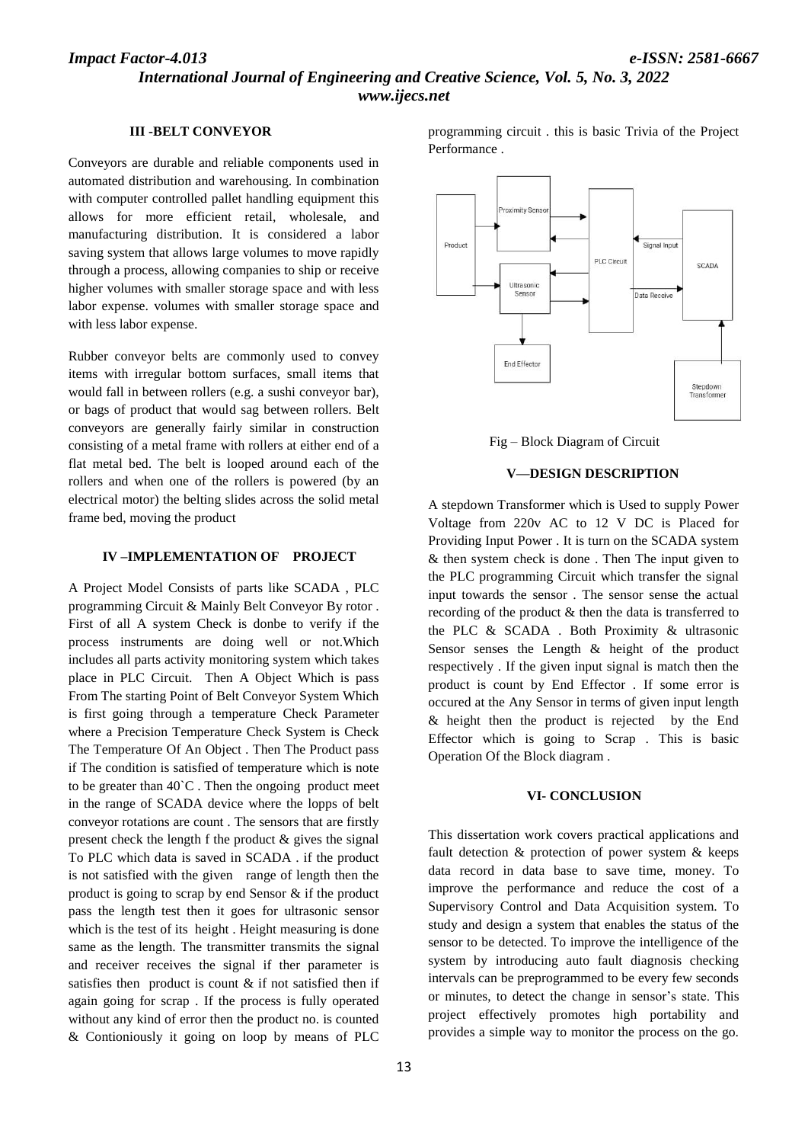## *International Journal of Engineering and Creative Science, Vol. 5, No. 3, 2022 www.ijecs.net*

#### **III -BELT CONVEYOR**

Conveyors are durable and reliable components used in automated distribution and warehousing. In combination with computer controlled pallet handling equipment this allows for more efficient retail, wholesale, and manufacturing distribution. It is considered a labor saving system that allows large volumes to move rapidly through a process, allowing companies to ship or receive higher volumes with smaller storage space and with less labor expense. volumes with smaller storage space and with less labor expense.

Rubber conveyor belts are commonly used to convey items with irregular bottom surfaces, small items that would fall in between rollers (e.g. a sushi conveyor bar), or bags of product that would sag between rollers. Belt conveyors are generally fairly similar in construction consisting of a metal frame with rollers at either end of a flat metal bed. The belt is looped around each of the rollers and when one of the rollers is powered (by an electrical motor) the belting slides across the solid metal frame bed, moving the product

#### **IV –IMPLEMENTATION OF PROJECT**

A Project Model Consists of parts like SCADA , PLC programming Circuit & Mainly Belt Conveyor By rotor . First of all A system Check is donbe to verify if the process instruments are doing well or not.Which includes all parts activity monitoring system which takes place in PLC Circuit. Then A Object Which is pass From The starting Point of Belt Conveyor System Which is first going through a temperature Check Parameter where a Precision Temperature Check System is Check The Temperature Of An Object . Then The Product pass if The condition is satisfied of temperature which is note to be greater than  $40^{\circ}$ C. Then the ongoing product meet in the range of SCADA device where the lopps of belt conveyor rotations are count . The sensors that are firstly present check the length f the product  $\&$  gives the signal To PLC which data is saved in SCADA . if the product is not satisfied with the given range of length then the product is going to scrap by end Sensor & if the product pass the length test then it goes for ultrasonic sensor which is the test of its height. Height measuring is done same as the length. The transmitter transmits the signal and receiver receives the signal if ther parameter is satisfies then product is count  $\&$  if not satisfied then if again going for scrap . If the process is fully operated without any kind of error then the product no. is counted & Contioniously it going on loop by means of PLC

13

programming circuit . this is basic Trivia of the Project Performance .



Fig – Block Diagram of Circuit

#### **V—DESIGN DESCRIPTION**

A stepdown Transformer which is Used to supply Power Voltage from 220v AC to 12 V DC is Placed for Providing Input Power . It is turn on the SCADA system & then system check is done . Then The input given to the PLC programming Circuit which transfer the signal input towards the sensor . The sensor sense the actual recording of the product & then the data is transferred to the PLC & SCADA . Both Proximity & ultrasonic Sensor senses the Length & height of the product respectively . If the given input signal is match then the product is count by End Effector . If some error is occured at the Any Sensor in terms of given input length & height then the product is rejected by the End Effector which is going to Scrap . This is basic Operation Of the Block diagram .

#### **VI- CONCLUSION**

This dissertation work covers practical applications and fault detection & protection of power system & keeps data record in data base to save time, money. To improve the performance and reduce the cost of a Supervisory Control and Data Acquisition system. To study and design a system that enables the status of the sensor to be detected. To improve the intelligence of the system by introducing auto fault diagnosis checking intervals can be preprogrammed to be every few seconds or minutes, to detect the change in sensor's state. This project effectively promotes high portability and provides a simple way to monitor the process on the go.